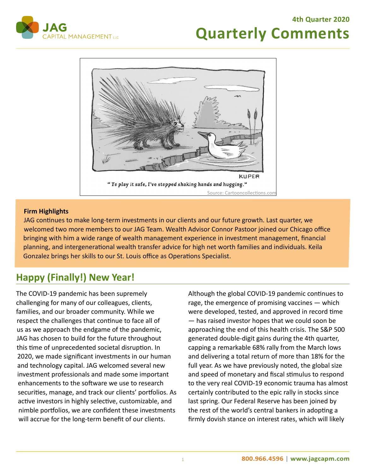#### **4th Quarter 2020**



# **Quarterly Comments**



#### **Firm Highlights**

JAG continues to make long-term investments in our clients and our future growth. Last quarter, we welcomed two more members to our JAG Team. Wealth Advisor Connor Pastoor joined our Chicago office bringing with him a wide range of wealth management experience in investment management, financial planning, and intergenerational wealth transfer advice for high net worth families and individuals. Keila Gonzalez brings her skills to our St. Louis office as Operations Specialist.

### **Happy (Finally!) New Year!**

The COVID-19 pandemic has been supremely challenging for many of our colleagues, clients, families, and our broader community. While we respect the challenges that continue to face all of us as we approach the endgame of the pandemic, JAG has chosen to build for the future throughout this time of unprecedented societal disruption. In 2020, we made significant investments in our human and technology capital. JAG welcomed several new investment professionals and made some important enhancements to the software we use to research securities, manage, and track our clients' portfolios. As active investors in highly selective, customizable, and nimble portfolios, we are confident these investments will accrue for the long-term benefit of our clients.

Although the global COVID-19 pandemic continues to rage, the emergence of promising vaccines — which were developed, tested, and approved in record time — has raised investor hopes that we could soon be approaching the end of this health crisis. The S&P 500 generated double-digit gains during the 4th quarter, capping a remarkable 68% rally from the March lows and delivering a total return of more than 18% for the full year. As we have previously noted, the global size and speed of monetary and fiscal stimulus to respond to the very real COVID-19 economic trauma has almost certainly contributed to the epic rally in stocks since last spring. Our Federal Reserve has been joined by the rest of the world's central bankers in adopting a firmly dovish stance on interest rates, which will likely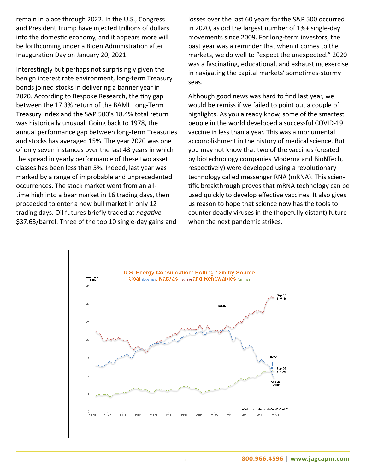remain in place through 2022. In the U.S., Congress and President Trump have injected trillions of dollars into the domestic economy, and it appears more will be forthcoming under a Biden Administration after Inauguration Day on January 20, 2021.

Interestingly but perhaps not surprisingly given the benign interest rate environment, long-term Treasury bonds joined stocks in delivering a banner year in 2020. According to Bespoke Research, the tiny gap between the 17.3% return of the BAML Long-Term Treasury Index and the S&P 500's 18.4% total return was historically unusual. Going back to 1978, the annual performance gap between long-term Treasuries and stocks has averaged 15%. The year 2020 was one of only seven instances over the last 43 years in which the spread in yearly performance of these two asset classes has been less than 5%. Indeed, last year was marked by a range of improbable and unprecedented occurrences. The stock market went from an alltime high into a bear market in 16 trading days, then proceeded to enter a new bull market in only 12 trading days. Oil futures briefly traded at *negative*  \$37.63/barrel. Three of the top 10 single-day gains and

losses over the last 60 years for the S&P 500 occurred in 2020, as did the largest number of 1%+ single-day movements since 2009. For long-term investors, the past year was a reminder that when it comes to the markets, we do well to "expect the unexpected." 2020 was a fascinating, educational, and exhausting exercise in navigating the capital markets' sometimes-stormy seas.

Although good news was hard to find last year, we would be remiss if we failed to point out a couple of highlights. As you already know, some of the smartest people in the world developed a successful COVID-19 vaccine in less than a year. This was a monumental accomplishment in the history of medical science. But you may not know that two of the vaccines (created by biotechnology companies Moderna and BioNTech, respectively) were developed using a revolutionary technology called messenger RNA (mRNA). This scientific breakthrough proves that mRNA technology can be used quickly to develop effective vaccines. It also gives us reason to hope that science now has the tools to counter deadly viruses in the (hopefully distant) future when the next pandemic strikes.

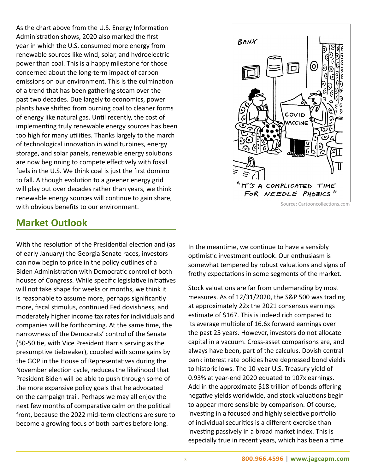As the chart above from the U.S. Energy Information Administration shows, 2020 also marked the first year in which the U.S. consumed more energy from renewable sources like wind, solar, and hydroelectric power than coal. This is a happy milestone for those concerned about the long-term impact of carbon emissions on our environment. This is the culmination of a trend that has been gathering steam over the past two decades. Due largely to economics, power plants have shifted from burning coal to cleaner forms of energy like natural gas. Until recently, the cost of implementing truly renewable energy sources has been too high for many utilities. Thanks largely to the march of technological innovation in wind turbines, energy storage, and solar panels, renewable energy solutions are now beginning to compete effectively with fossil fuels in the U.S. We think coal is just the first domino to fall. Although evolution to a greener energy grid will play out over decades rather than years, we think renewable energy sources will continue to gain share, with obvious benefits to our environment.



Source: Cartooncollections.com

## **Market Outlook**

With the resolution of the Presidential election and (as of early January) the Georgia Senate races, investors can now begin to price in the policy outlines of a Biden Administration with Democratic control of both houses of Congress. While specific legislative initiatives will not take shape for weeks or months, we think it is reasonable to assume more, perhaps significantly more, fiscal stimulus, continued Fed dovishness, and moderately higher income tax rates for individuals and companies will be forthcoming. At the same time, the narrowness of the Democrats' control of the Senate (50-50 tie, with Vice President Harris serving as the presumptive tiebreaker), coupled with some gains by the GOP in the House of Representatives during the November election cycle, reduces the likelihood that President Biden will be able to push through some of the more expansive policy goals that he advocated on the campaign trail. Perhaps we may all enjoy the next few months of comparative calm on the political front, because the 2022 mid-term elections are sure to become a growing focus of both parties before long.

In the meantime, we continue to have a sensibly optimistic investment outlook. Our enthusiasm is somewhat tempered by robust valuations and signs of frothy expectations in some segments of the market.

Stock valuations are far from undemanding by most measures. As of 12/31/2020, the S&P 500 was trading at approximately 22x the 2021 consensus earnings estimate of \$167. This is indeed rich compared to its average multiple of 16.6x forward earnings over the past 25 years. However, investors do not allocate capital in a vacuum. Cross-asset comparisons are, and always have been, part of the calculus. Dovish central bank interest rate policies have depressed bond yields to historic lows. The 10-year U.S. Treasury yield of 0.93% at year-end 2020 equated to 107x earnings. Add in the approximate \$18 trillion of bonds offering negative yields worldwide, and stock valuations begin to appear more sensible by comparison. Of course, investing in a focused and highly selective portfolio of individual securities is a different exercise than investing passively in a broad market index. This is especially true in recent years, which has been a time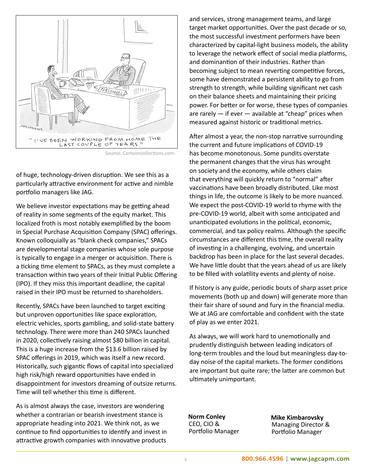

Source: Cartooncollections.com

of huge, technology-driven disruption. We see this as a particularly attractive environment for active and nimble portfolio managers like JAG.

We believe investor expectations may be getting ahead of reality in some segments of the equity market. This localized froth is most notably exemplified by the boom in Special Purchase Acquisition Company (SPAC) offerings. Known colloquially as "blank check companies," SPACs are developmental stage companies whose sole purpose is typically to engage in a merger or acquisition. There is a ticking time element to SPACs, as they must complete a transaction within two years of their Initial Public Offering (IPO). If they miss this important deadline, the capital raised in their IPO must be returned to shareholders.

Recently, SPACs have been launched to target exciting but unproven opportunities like space exploration, electric vehicles, sports gambling, and solid-state battery technology. There were more than 240 SPACs launched in 2020, collectively raising almost \$80 billion in capital. This is a huge increase from the \$13.6 billion raised by SPAC offerings in 2019, which was itself a new record. Historically, such gigantic flows of capital into specialized high risk/high reward opportunities have ended in disappointment for investors dreaming of outsize returns. Time will tell whether this time is different.

As is almost always the case, investors are wondering whether a contrarian or bearish investment stance is appropriate heading into 2021. We think not, as we continue to find opportunities to identify and invest in attractive growth companies with innovative products

and services, strong management teams, and large target market opportunities. Over the past decade or so, the most successful investment performers have been characterized by capital-light business models, the ability to leverage the network effect of social media platforms, and dominantion of their industries. Rather than becoming subject to mean reverting competitive forces, some have demonstrated a persistent ability to go from strength to strength, while building significant net cash on their balance sheets and maintaining their pricing power. For better or for worse, these types of companies are rarely  $-$  if ever  $-$  available at "cheap" prices when measured against historic or traditional metrics.

After almost a year, the non-stop narrative surrounding the current and future implications of COVID-19 has become monotonous. Some pundits overstate the permanent changes that the virus has wrought on society and the economy, while others claim that everything will quickly return to "normal" after vaccinations have been broadly distributed. Like most things in life, the outcome is likely to be more nuanced. We expect the post-COVID-19 world to rhyme with the pre-COVID-19 world, albeit with some anticipated and unanticipated evolutions in the political, economic, commercial, and tax policy realms. Although the specific circumstances are different this time, the overall reality of investing in a challenging, evolving, and uncertain backdrop has been in place for the last several decades. We have little doubt that the years ahead of us are likely to be filled with volatility events and plenty of noise.

If history is any guide, periodic bouts of sharp asset price movements (both up and down) will generate more than their fair share of sound and fury in the financial media. We at JAG are comfortable and confident with the state of play as we enter 2021.

As always, we will work hard to unemotionally and prudently distinguish between leading indicators of long-term troubles and the loud but meaningless day-today noise of the capital markets. The former conditions are important but quite rare; the latter are common but ultimately unimportant.

**Norm Conley** CEO, CIO & Portfolio Manager

**Mike Kimbarovsky** Managing Director & Portfolio Manager